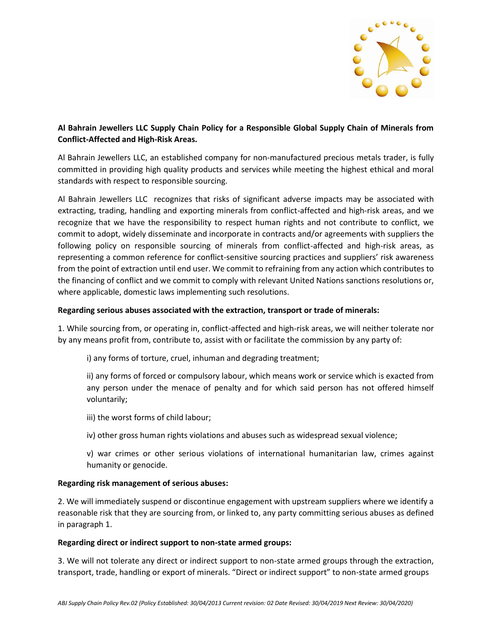

# **Al Bahrain Jewellers LLC Supply Chain Policy for a Responsible Global Supply Chain of Minerals from Conflict-Affected and High-Risk Areas.**

Al Bahrain Jewellers LLC, an established company for non-manufactured precious metals trader, is fully committed in providing high quality products and services while meeting the highest ethical and moral standards with respect to responsible sourcing.

Al Bahrain Jewellers LLC recognizes that risks of significant adverse impacts may be associated with extracting, trading, handling and exporting minerals from conflict-affected and high-risk areas, and we recognize that we have the responsibility to respect human rights and not contribute to conflict, we commit to adopt, widely disseminate and incorporate in contracts and/or agreements with suppliers the following policy on responsible sourcing of minerals from conflict-affected and high-risk areas, as representing a common reference for conflict-sensitive sourcing practices and suppliers' risk awareness from the point of extraction until end user. We commit to refraining from any action which contributes to the financing of conflict and we commit to comply with relevant United Nations sanctions resolutions or, where applicable, domestic laws implementing such resolutions.

# **Regarding serious abuses associated with the extraction, transport or trade of minerals:**

1. While sourcing from, or operating in, conflict-affected and high-risk areas, we will neither tolerate nor by any means profit from, contribute to, assist with or facilitate the commission by any party of:

i) any forms of torture, cruel, inhuman and degrading treatment;

ii) any forms of forced or compulsory labour, which means work or service which is exacted from any person under the menace of penalty and for which said person has not offered himself voluntarily;

iii) the worst forms of child labour;

iv) other gross human rights violations and abuses such as widespread sexual violence;

v) war crimes or other serious violations of international humanitarian law, crimes against humanity or genocide.

# **Regarding risk management of serious abuses:**

2. We will immediately suspend or discontinue engagement with upstream suppliers where we identify a reasonable risk that they are sourcing from, or linked to, any party committing serious abuses as defined in paragraph 1.

# **Regarding direct or indirect support to non-state armed groups:**

3. We will not tolerate any direct or indirect support to non-state armed groups through the extraction, transport, trade, handling or export of minerals. "Direct or indirect support" to non-state armed groups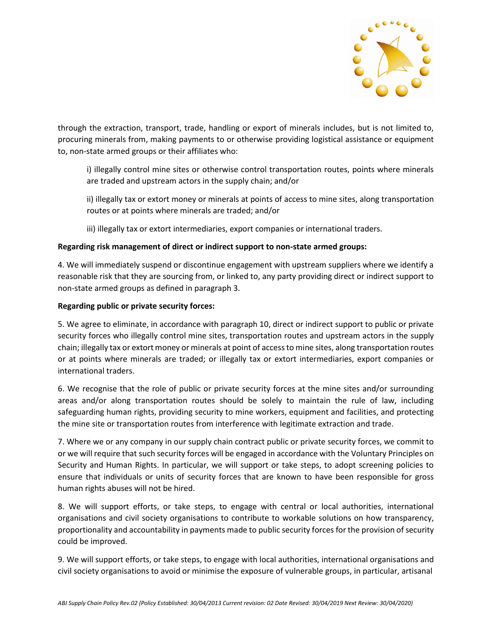

through the extraction, transport, trade, handling or export of minerals includes, but is not limited to, procuring minerals from, making payments to or otherwise providing logistical assistance or equipment to, non-state armed groups or their affiliates who:

- i) illegally control mine sites or otherwise control transportation routes, points where minerals are traded and upstream actors in the supply chain; and/or
- ii) illegally tax or extort money or minerals at points of access to mine sites, along transportation routes or at points where minerals are traded; and/or
- iii) illegally tax or extort intermediaries, export companies or international traders.

# **Regarding risk management of direct or indirect support to non-state armed groups:**

4. We will immediately suspend or discontinue engagement with upstream suppliers where we identify a reasonable risk that they are sourcing from, or linked to, any party providing direct or indirect support to non-state armed groups as defined in paragraph 3.

# **Regarding public or private security forces:**

5. We agree to eliminate, in accordance with paragraph 10, direct or indirect support to public or private security forces who illegally control mine sites, transportation routes and upstream actors in the supply chain; illegally tax or extort money or minerals at point of access to mine sites, along transportation routes or at points where minerals are traded; or illegally tax or extort intermediaries, export companies or international traders.

6. We recognise that the role of public or private security forces at the mine sites and/or surrounding areas and/or along transportation routes should be solely to maintain the rule of law, including safeguarding human rights, providing security to mine workers, equipment and facilities, and protecting the mine site or transportation routes from interference with legitimate extraction and trade.

7. Where we or any company in our supply chain contract public or private security forces, we commit to or we will require that such security forces will be engaged in accordance with the Voluntary Principles on Security and Human Rights. In particular, we will support or take steps, to adopt screening policies to ensure that individuals or units of security forces that are known to have been responsible for gross human rights abuses will not be hired.

8. We will support efforts, or take steps, to engage with central or local authorities, international organisations and civil society organisations to contribute to workable solutions on how transparency, proportionality and accountability in payments made to public security forces for the provision of security could be improved.

9. We will support efforts, or take steps, to engage with local authorities, international organisations and civil society organisations to avoid or minimise the exposure of vulnerable groups, in particular, artisanal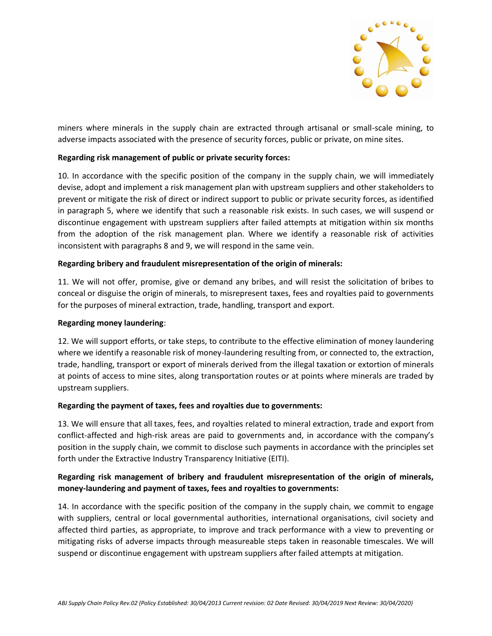

miners where minerals in the supply chain are extracted through artisanal or small-scale mining, to adverse impacts associated with the presence of security forces, public or private, on mine sites.

# **Regarding risk management of public or private security forces:**

10. In accordance with the specific position of the company in the supply chain, we will immediately devise, adopt and implement a risk management plan with upstream suppliers and other stakeholders to prevent or mitigate the risk of direct or indirect support to public or private security forces, as identified in paragraph 5, where we identify that such a reasonable risk exists. In such cases, we will suspend or discontinue engagement with upstream suppliers after failed attempts at mitigation within six months from the adoption of the risk management plan. Where we identify a reasonable risk of activities inconsistent with paragraphs 8 and 9, we will respond in the same vein.

# **Regarding bribery and fraudulent misrepresentation of the origin of minerals:**

11. We will not offer, promise, give or demand any bribes, and will resist the solicitation of bribes to conceal or disguise the origin of minerals, to misrepresent taxes, fees and royalties paid to governments for the purposes of mineral extraction, trade, handling, transport and export.

# **Regarding money laundering**:

12. We will support efforts, or take steps, to contribute to the effective elimination of money laundering where we identify a reasonable risk of money-laundering resulting from, or connected to, the extraction, trade, handling, transport or export of minerals derived from the illegal taxation or extortion of minerals at points of access to mine sites, along transportation routes or at points where minerals are traded by upstream suppliers.

# **Regarding the payment of taxes, fees and royalties due to governments:**

13. We will ensure that all taxes, fees, and royalties related to mineral extraction, trade and export from conflict-affected and high-risk areas are paid to governments and, in accordance with the company's position in the supply chain, we commit to disclose such payments in accordance with the principles set forth under the Extractive Industry Transparency Initiative (EITI).

# **Regarding risk management of bribery and fraudulent misrepresentation of the origin of minerals, money-laundering and payment of taxes, fees and royalties to governments:**

14. In accordance with the specific position of the company in the supply chain, we commit to engage with suppliers, central or local governmental authorities, international organisations, civil society and affected third parties, as appropriate, to improve and track performance with a view to preventing or mitigating risks of adverse impacts through measureable steps taken in reasonable timescales. We will suspend or discontinue engagement with upstream suppliers after failed attempts at mitigation.